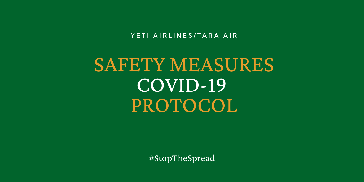YETI AIRLINES/TARA AIR

# SAFETY MEASURES COVID-19 PROTOCOL

#StopTheSpread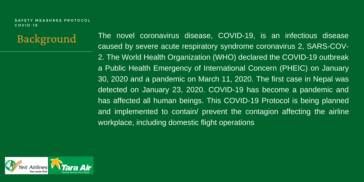**Background** 

The novel coronavirus disease, COVID-19, is an infectious disease caused by severe acute respiratory syndrome coronavirus 2, SARS-COV-2. The World Health Organization (WHO) declared the COVID-19 outbreak a Public Health Emergency of International Concern (PHEIC) on January 30, 2020 and a pandemic on March 11, 2020. The first case in Nepal was detected on January 23, 2020. COVID-19 has become a pandemic and has affected all human beings. This COVID-19 Protocol is being planned and implemented to contain/ prevent the contagion affecting the airline workplace, including domestic flight operations

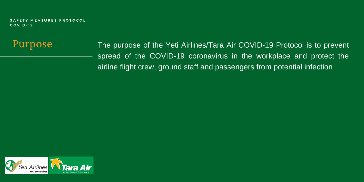Purpose

The purpose of the Yeti Airlines/Tara Air COVID-19 Protocol is to prevent spread of the COVID-19 coronavirus in the workplace and protect the airline flight crew, ground staff and passengers from potential infection

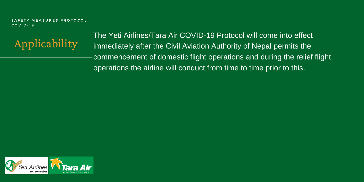

The Yeti Airlines/Tara Air COVID-19 Protocol will come into effect immediately after the Civil Aviation Authority of Nepal permits the commencement of domestic flight operations and during the relief flight operations the airline will conduct from time to time prior to this.

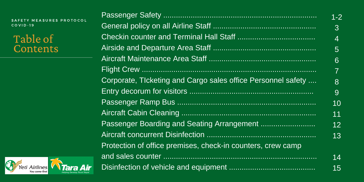| SAFETY MEASURES PROTOCOL<br>$COVID-19$             |                                                              | $1 - 2$        |
|----------------------------------------------------|--------------------------------------------------------------|----------------|
|                                                    |                                                              | $\overline{3}$ |
| Table of<br>Contents                               |                                                              | $\overline{4}$ |
|                                                    |                                                              | 5 <sup>1</sup> |
|                                                    |                                                              | 6              |
|                                                    |                                                              |                |
|                                                    | Corporate, Tlcketing and Cargo sales office Personnel safety | 8              |
|                                                    |                                                              | 9              |
|                                                    |                                                              | 10             |
|                                                    |                                                              | 11             |
|                                                    |                                                              | 12             |
|                                                    |                                                              | 13             |
|                                                    | Protection of office premises, check-in counters, crew camp  |                |
|                                                    |                                                              | 14             |
| Yeti Airlines<br><b>Tara Air</b><br>You come first |                                                              | 15             |

 $S$  or  $C$   $\infty$ 

6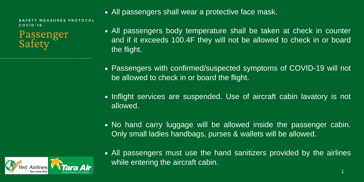Passenger **Safety** 

- All passengers shall wear a protective face mask.
- All passengers body temperature shall be taken at check in counter and if it exceeds 100.4F they will not be allowed to check in or board the flight.
- Passengers with confirmed/suspected symptoms of COVID-19 will not be allowed to check in or board the flight.
- Inflight services are suspended. Use of aircraft cabin lavatory is not allowed.
- No hand carry luggage will be allowed inside the passenger cabin. Only small ladies handbags, purses & wallets will be allowed.



All passengers must use the hand sanitizers provided by the airlines while entering the aircraft cabin.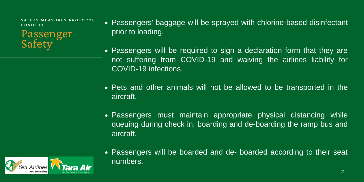**MEASURES PROTOCOL** C O V I D - 1 9

Passenger Safety<sup>-</sup>

- Passengers' baggage will be sprayed with chlorine-based disinfectant prior to loading.
- Passengers will be required to sign a declaration form that they are not suffering from COVID-19 and waiving the airlines liability for COVID-19 infections.
- Pets and other animals will not be allowed to be transported in the aircraft.
- Passengers must maintain appropriate physical distancing while queuing during check in, boarding and de-boarding the ramp bus and aircraft.



Passengers will be boarded and de- boarded according to their seat numbers.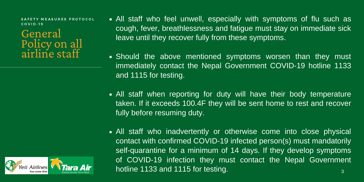### General Policy on all airline staff

- All staff who feel unwell, especially with symptoms of flu such as cough, fever, breathlessness and fatigue must stay on immediate sick leave until they recover fully from these symptoms.
- Should the above mentioned symptoms worsen than they must immediately contact the Nepal Government COVID-19 hotline 1133 and 1115 for testing.
- All staff when reporting for duty will have their body temperature taken. If it exceeds 100.4F they will be sent home to rest and recover fully before resuming duty.
- All staff who inadvertently or otherwise come into close physical contact with confirmed COVID-19 infected person(s) must mandatorily self-quarantine for a minimum of 14 days. If they develop symptoms of COVID-19 infection they must contact the Nepal Government hotline 1133 and 1115 for testing. 3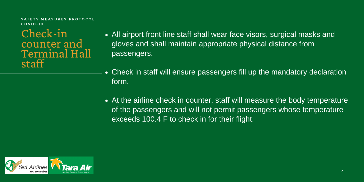Check-in counter and Terminal Hall staff

- All airport front line staff shall wear face visors, surgical masks and gloves and shall maintain appropriate physical distance from passengers.
- Check in staff will ensure passengers fill up the mandatory declaration form.
- At the airline check in counter, staff will measure the body temperature of the passengers and will not permit passengers whose temperature exceeds 100.4 F to check in for their flight.

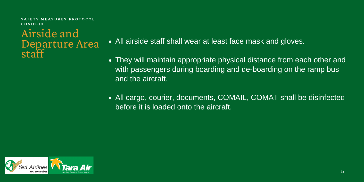Airside and Departure Area • A staff<sup>"</sup>

- All airside staff shall wear at least face mask and gloves.
- They will maintain appropriate physical distance from each other and with passengers during boarding and de-boarding on the ramp bus and the aircraft.
- All cargo, courier, documents, COMAIL, COMAT shall be disinfected before it is loaded onto the aircraft.

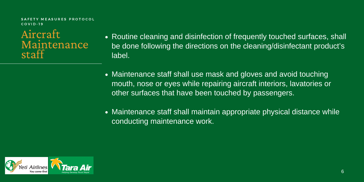Aircraft Maintenance staff

- Routine cleaning and disinfection of frequently touched surfaces, shall be done following the directions on the cleaning/disinfectant product's label.
- Maintenance staff shall use mask and gloves and avoid touching mouth, nose or eyes while repairing aircraft interiors, lavatories or other surfaces that have been touched by passengers.
- Maintenance staff shall maintain appropriate physical distance while conducting maintenance work.

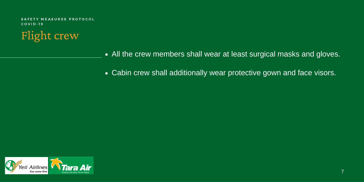

- All the crew members shall wear at least surgical masks and gloves.
- Cabin crew shall additionally wear protective gown and face visors.

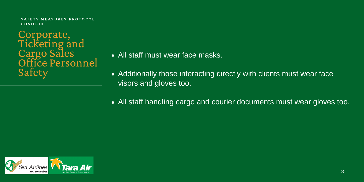Corporate, Ticketing and Cargo Sales Office Personnel Safety

- All staff must wear face masks.
- Additionally those interacting directly with clients must wear face visors and gloves too.
- All staff handling cargo and courier documents must wear gloves too.

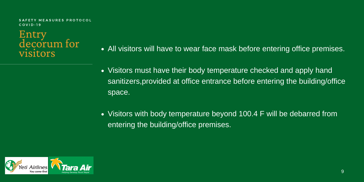# Entry<br>decorum for visitors

- All visitors will have to wear face mask before entering office premises.
- Visitors must have their body temperature checked and apply hand sanitizers,provided at office entrance before entering the building/office space.
- Visitors with body temperature beyond 100.4 F will be debarred from entering the building/office premises.

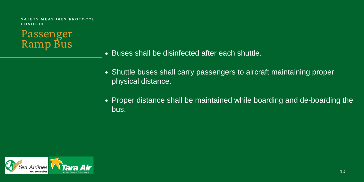

- Buses shall be disinfected after each shuttle.
- Shuttle buses shall carry passengers to aircraft maintaining proper physical distance.
- Proper distance shall be maintained while boarding and de-boarding the bus.

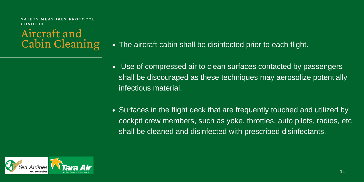MEASURES PROTOCOL C O V I D - 1 9

### Aircraft and Cabin Cleaning

- The aircraft cabin shall be disinfected prior to each flight.
- Use of compressed air to clean surfaces contacted by passengers shall be discouraged as these techniques may aerosolize potentially infectious material.
- Surfaces in the flight deck that are frequently touched and utilized by cockpit crew members, such as yoke, throttles, auto pilots, radios, etc shall be cleaned and disinfected with prescribed disinfectants.

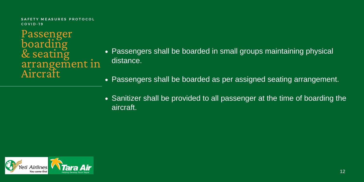Passenger boarding & seating arrangement in Aircraft

- Passengers shall be boarded in small groups maintaining physical distance.
- Passengers shall be boarded as per assigned seating arrangement.
- Sanitizer shall be provided to all passenger at the time of boarding the aircraft.

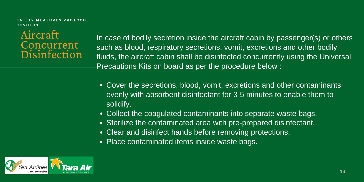**MEASURES PROTOCOL** C O V I D - 1 9

#### Aircraft **Concurrent Disinfection**

In case of bodily secretion inside the aircraft cabin by passenger(s) or others such as blood, respiratory secretions, vomit, excretions and other bodily fluids, the aircraft cabin shall be disinfected concurrently using the Universal Precautions Kits on board as per the procedure below :

- Cover the secretions, blood, vomit, excretions and other contaminants evenly with absorbent disinfectant for 3-5 minutes to enable them to solidify.
- Collect the coagulated contaminants into separate waste bags.
- Sterilize the contaminated area with pre-prepared disinfectant.
- Clear and disinfect hands before removing protections.
- Place contaminated items inside waste bags.

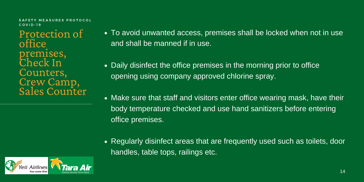#### MEASURES PROTOCOL  $C<sub>O</sub>$  V I D - 19

Protection of office premises, Check In Counters, Crew Camp, Sales Counter

- To avoid unwanted access, premises shall be locked when not in use and shall be manned if in use.
- Daily disinfect the office premises in the morning prior to office opening using company approved chlorine spray.
- Make sure that staff and visitors enter office wearing mask, have their body temperature checked and use hand sanitizers before entering office premises.
- Regularly disinfect areas that are frequently used such as toilets, door handles, table tops, railings etc.

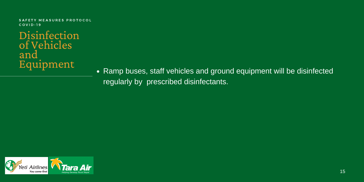Disinfection of Vehicles and Equipment

• Ramp buses, staff vehicles and ground equipment will be disinfected regularly by prescribed disinfectants.